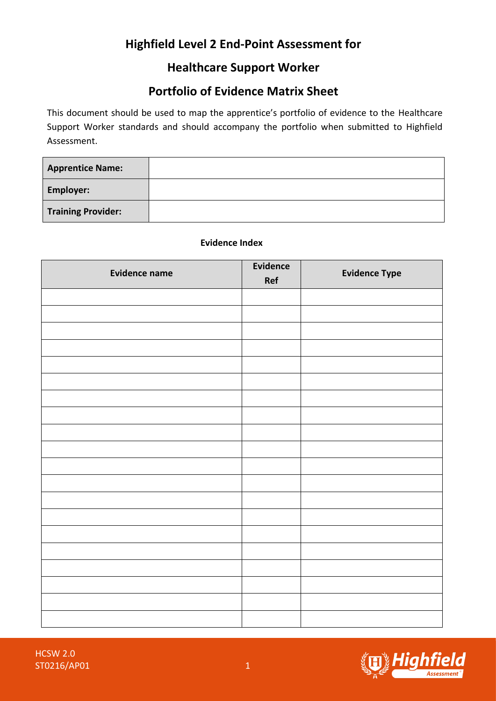# **Highfield Level 2 End-Point Assessment for**

### **Healthcare Support Worker**

## **Portfolio of Evidence Matrix Sheet**

This document should be used to map the apprentice's portfolio of evidence to the Healthcare Support Worker standards and should accompany the portfolio when submitted to Highfield Assessment.

| <b>Apprentice Name:</b>   |  |
|---------------------------|--|
| <b>Employer:</b>          |  |
| <b>Training Provider:</b> |  |

#### **Evidence Index**

| <b>Evidence name</b> | Evidence<br><b>Ref</b> | <b>Evidence Type</b> |
|----------------------|------------------------|----------------------|
|                      |                        |                      |
|                      |                        |                      |
|                      |                        |                      |
|                      |                        |                      |
|                      |                        |                      |
|                      |                        |                      |
|                      |                        |                      |
|                      |                        |                      |
|                      |                        |                      |
|                      |                        |                      |
|                      |                        |                      |
|                      |                        |                      |
|                      |                        |                      |
|                      |                        |                      |
|                      |                        |                      |
|                      |                        |                      |
|                      |                        |                      |
|                      |                        |                      |
|                      |                        |                      |
|                      |                        |                      |

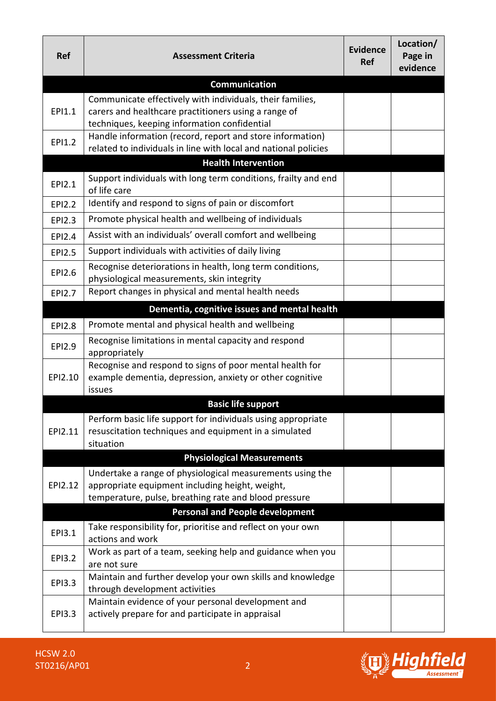| <b>Ref</b>    | <b>Assessment Criteria</b>                                                                                                   | <b>Evidence</b><br><b>Ref</b> | Location/<br>Page in<br>evidence |
|---------------|------------------------------------------------------------------------------------------------------------------------------|-------------------------------|----------------------------------|
|               | <b>Communication</b>                                                                                                         |                               |                                  |
| EPI1.1        | Communicate effectively with individuals, their families,                                                                    |                               |                                  |
|               | carers and healthcare practitioners using a range of                                                                         |                               |                                  |
|               | techniques, keeping information confidential                                                                                 |                               |                                  |
| EPI1.2        | Handle information (record, report and store information)<br>related to individuals in line with local and national policies |                               |                                  |
|               | <b>Health Intervention</b>                                                                                                   |                               |                                  |
|               |                                                                                                                              |                               |                                  |
| EPI2.1        | Support individuals with long term conditions, frailty and end<br>of life care                                               |                               |                                  |
| <b>EPI2.2</b> | Identify and respond to signs of pain or discomfort                                                                          |                               |                                  |
| <b>EPI2.3</b> | Promote physical health and wellbeing of individuals                                                                         |                               |                                  |
| EPI2.4        | Assist with an individuals' overall comfort and wellbeing                                                                    |                               |                                  |
| <b>EPI2.5</b> | Support individuals with activities of daily living                                                                          |                               |                                  |
| EPI2.6        | Recognise deteriorations in health, long term conditions,                                                                    |                               |                                  |
|               | physiological measurements, skin integrity                                                                                   |                               |                                  |
| <b>EPI2.7</b> | Report changes in physical and mental health needs                                                                           |                               |                                  |
|               | Dementia, cognitive issues and mental health                                                                                 |                               |                                  |
| <b>EPI2.8</b> | Promote mental and physical health and wellbeing                                                                             |                               |                                  |
| <b>EPI2.9</b> | Recognise limitations in mental capacity and respond<br>appropriately                                                        |                               |                                  |
|               | Recognise and respond to signs of poor mental health for                                                                     |                               |                                  |
| EPI2.10       | example dementia, depression, anxiety or other cognitive<br>issues                                                           |                               |                                  |
|               | <b>Basic life support</b>                                                                                                    |                               |                                  |
|               | Perform basic life support for individuals using appropriate                                                                 |                               |                                  |
| EPI2.11       | resuscitation techniques and equipment in a simulated                                                                        |                               |                                  |
|               | situation                                                                                                                    |                               |                                  |
|               | <b>Physiological Measurements</b>                                                                                            |                               |                                  |
|               | Undertake a range of physiological measurements using the                                                                    |                               |                                  |
| EPI2.12       | appropriate equipment including height, weight,                                                                              |                               |                                  |
|               | temperature, pulse, breathing rate and blood pressure                                                                        |                               |                                  |
|               | <b>Personal and People development</b>                                                                                       |                               |                                  |
| EPI3.1        | Take responsibility for, prioritise and reflect on your own<br>actions and work                                              |                               |                                  |
|               | Work as part of a team, seeking help and guidance when you                                                                   |                               |                                  |
| <b>EPI3.2</b> | are not sure                                                                                                                 |                               |                                  |
| <b>EPI3.3</b> | Maintain and further develop your own skills and knowledge                                                                   |                               |                                  |
|               | through development activities                                                                                               |                               |                                  |
| <b>EPI3.3</b> | Maintain evidence of your personal development and<br>actively prepare for and participate in appraisal                      |                               |                                  |
|               |                                                                                                                              |                               |                                  |

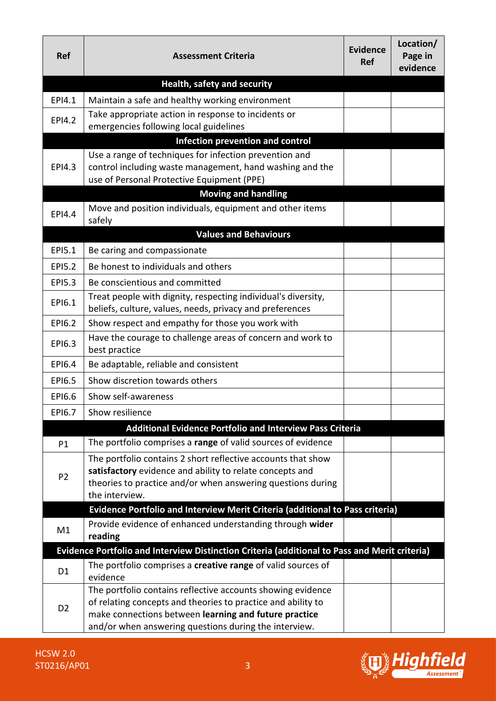| Ref                | <b>Assessment Criteria</b>                                                                                                                                                                                                                    | <b>Evidence</b><br><b>Ref</b> | Location/<br>Page in<br>evidence |
|--------------------|-----------------------------------------------------------------------------------------------------------------------------------------------------------------------------------------------------------------------------------------------|-------------------------------|----------------------------------|
|                    | Health, safety and security                                                                                                                                                                                                                   |                               |                                  |
| EPI4.1             | Maintain a safe and healthy working environment                                                                                                                                                                                               |                               |                                  |
| EPI4.2             | Take appropriate action in response to incidents or<br>emergencies following local guidelines                                                                                                                                                 |                               |                                  |
|                    | Infection prevention and control                                                                                                                                                                                                              |                               |                                  |
| <b>EPI4.3</b>      | Use a range of techniques for infection prevention and<br>control including waste management, hand washing and the<br>use of Personal Protective Equipment (PPE)                                                                              |                               |                                  |
|                    | <b>Moving and handling</b>                                                                                                                                                                                                                    |                               |                                  |
| EPI4.4             | Move and position individuals, equipment and other items<br>safely                                                                                                                                                                            |                               |                                  |
|                    | <b>Values and Behaviours</b>                                                                                                                                                                                                                  |                               |                                  |
| EPI5.1             | Be caring and compassionate                                                                                                                                                                                                                   |                               |                                  |
| EP <sub>15.2</sub> | Be honest to individuals and others                                                                                                                                                                                                           |                               |                                  |
| <b>EPI5.3</b>      | Be conscientious and committed                                                                                                                                                                                                                |                               |                                  |
| EPI6.1             | Treat people with dignity, respecting individual's diversity,<br>beliefs, culture, values, needs, privacy and preferences                                                                                                                     |                               |                                  |
| EPI6.2             | Show respect and empathy for those you work with                                                                                                                                                                                              |                               |                                  |
| EPI6.3             | Have the courage to challenge areas of concern and work to<br>best practice                                                                                                                                                                   |                               |                                  |
| EPI6.4             | Be adaptable, reliable and consistent                                                                                                                                                                                                         |                               |                                  |
| EPI6.5             | Show discretion towards others                                                                                                                                                                                                                |                               |                                  |
| EPI6.6             | Show self-awareness                                                                                                                                                                                                                           |                               |                                  |
| EP16.7             | Show resilience                                                                                                                                                                                                                               |                               |                                  |
|                    | <b>Additional Evidence Portfolio and Interview Pass Criteria</b>                                                                                                                                                                              |                               |                                  |
| P1                 | The portfolio comprises a range of valid sources of evidence                                                                                                                                                                                  |                               |                                  |
| P <sub>2</sub>     | The portfolio contains 2 short reflective accounts that show<br>satisfactory evidence and ability to relate concepts and<br>theories to practice and/or when answering questions during                                                       |                               |                                  |
|                    | the interview.                                                                                                                                                                                                                                |                               |                                  |
|                    | Evidence Portfolio and Interview Merit Criteria (additional to Pass criteria)                                                                                                                                                                 |                               |                                  |
| M1                 | Provide evidence of enhanced understanding through wider<br>reading                                                                                                                                                                           |                               |                                  |
|                    | Evidence Portfolio and Interview Distinction Criteria (additional to Pass and Merit criteria)                                                                                                                                                 |                               |                                  |
| D <sub>1</sub>     | The portfolio comprises a creative range of valid sources of<br>evidence                                                                                                                                                                      |                               |                                  |
| D <sub>2</sub>     | The portfolio contains reflective accounts showing evidence<br>of relating concepts and theories to practice and ability to<br>make connections between learning and future practice<br>and/or when answering questions during the interview. |                               |                                  |